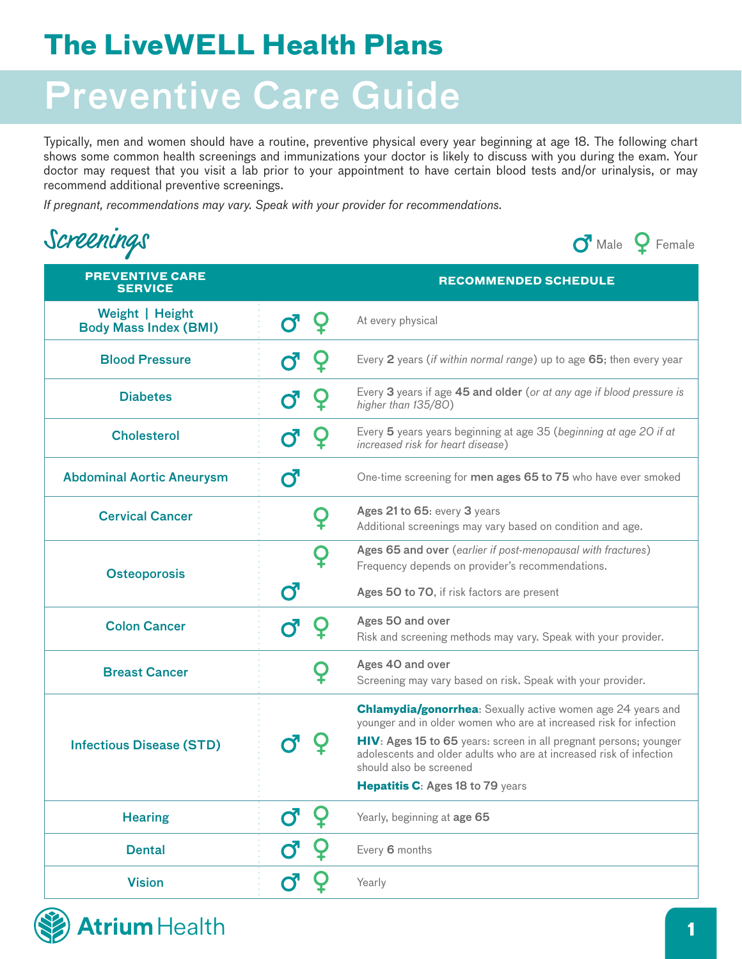### **The LiveWELL Health Plans**

# Preventive Care Guide

Typically, men and women should have a routine, preventive physical every year beginning at age 18. The following chart shows some common health screenings and immunizations your doctor is likely to discuss with you during the exam. Your doctor may request that you visit a lab prior to your appointment to have certain blood tests and/or urinalysis, or may recommend additional preventive screenings.

*If pregnant, recommendations may vary. Speak with your provider for recommendations.*

| Screenings |
|------------|



| <b>PREVENTIVE CARE</b><br><b>SERVICE</b>        |                       | <b>RECOMMENDED SCHEDULE</b>                                                                                                                                                                                                                                                                                                                         |
|-------------------------------------------------|-----------------------|-----------------------------------------------------------------------------------------------------------------------------------------------------------------------------------------------------------------------------------------------------------------------------------------------------------------------------------------------------|
| Weight   Height<br><b>Body Mass Index (BMI)</b> |                       | At every physical                                                                                                                                                                                                                                                                                                                                   |
| <b>Blood Pressure</b>                           | Ő                     | Every 2 years (if within normal range) up to age 65; then every year                                                                                                                                                                                                                                                                                |
| <b>Diabetes</b>                                 | $\mathbf{C}^{\prime}$ | Every 3 years if age 45 and older (or at any age if blood pressure is<br>higher than 135/80)                                                                                                                                                                                                                                                        |
| <b>Cholesterol</b>                              | $\mathbf{C}^{\prime}$ | Every 5 years years beginning at age 35 (beginning at age 20 if at<br><i>increased risk for heart disease</i> )                                                                                                                                                                                                                                     |
| <b>Abdominal Aortic Aneurysm</b>                | ď                     | One-time screening for men ages 65 to 75 who have ever smoked                                                                                                                                                                                                                                                                                       |
| <b>Cervical Cancer</b>                          |                       | Ages 21 to 65: every 3 years<br>Additional screenings may vary based on condition and age.                                                                                                                                                                                                                                                          |
| <b>Osteoporosis</b>                             |                       | Ages 65 and over (earlier if post-menopausal with fractures)<br>Frequency depends on provider's recommendations.                                                                                                                                                                                                                                    |
|                                                 | đ                     | Ages 50 to 70, if risk factors are present                                                                                                                                                                                                                                                                                                          |
| <b>Colon Cancer</b>                             |                       | Ages 50 and over<br>Risk and screening methods may vary. Speak with your provider.                                                                                                                                                                                                                                                                  |
| <b>Breast Cancer</b>                            |                       | Ages 40 and over<br>Screening may vary based on risk. Speak with your provider.                                                                                                                                                                                                                                                                     |
| <b>Infectious Disease (STD)</b>                 |                       | <b>Chlamydia/gonorrhea:</b> Sexually active women age 24 years and<br>younger and in older women who are at increased risk for infection<br>HIV: Ages 15 to 65 years: screen in all pregnant persons; younger<br>adolescents and older adults who are at increased risk of infection<br>should also be screened<br>Hepatitis C: Ages 18 to 79 years |
| <b>Hearing</b>                                  |                       | Yearly, beginning at age 65                                                                                                                                                                                                                                                                                                                         |
| <b>Dental</b>                                   | $\mathbf{C}^{\prime}$ | Every 6 months                                                                                                                                                                                                                                                                                                                                      |
| <b>Vision</b>                                   | Ø                     | Yearly                                                                                                                                                                                                                                                                                                                                              |